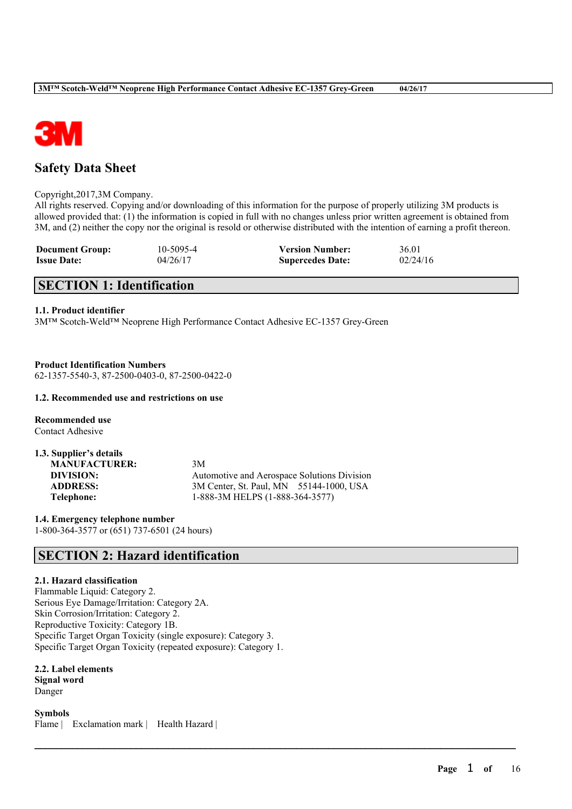

# **Safety Data Sheet**

### Copyright,2017,3M Company.

All rights reserved. Copying and/or downloading of this information for the purpose of properly utilizing 3M products is allowed provided that: (1) the information is copied in full with no changes unless prior written agreement is obtained from 3M, and (2) neither the copy nor the original is resold or otherwise distributed with the intention of earning a profit thereon.

 $\mathcal{L}_\mathcal{L} = \mathcal{L}_\mathcal{L} = \mathcal{L}_\mathcal{L} = \mathcal{L}_\mathcal{L} = \mathcal{L}_\mathcal{L} = \mathcal{L}_\mathcal{L} = \mathcal{L}_\mathcal{L} = \mathcal{L}_\mathcal{L} = \mathcal{L}_\mathcal{L} = \mathcal{L}_\mathcal{L} = \mathcal{L}_\mathcal{L} = \mathcal{L}_\mathcal{L} = \mathcal{L}_\mathcal{L} = \mathcal{L}_\mathcal{L} = \mathcal{L}_\mathcal{L} = \mathcal{L}_\mathcal{L} = \mathcal{L}_\mathcal{L}$ 

| <b>Document Group:</b> | 10-5095-4 | <b>Version Number:</b>  | 36.01    |
|------------------------|-----------|-------------------------|----------|
| <b>Issue Date:</b>     | 04/26/17  | <b>Supercedes Date:</b> | 02/24/16 |

# **SECTION 1: Identification**

# **1.1. Product identifier**

3M™ Scotch-Weld™ Neoprene High Performance Contact Adhesive EC-1357 Grey-Green

**Product Identification Numbers** 62-1357-5540-3, 87-2500-0403-0, 87-2500-0422-0

# **1.2. Recommended use and restrictions on use**

**Recommended use** Contact Adhesive

| 1.3. Supplier's details |                                             |
|-------------------------|---------------------------------------------|
| <b>MANUFACTURER:</b>    | 3M                                          |
| DIVISION:               | Automotive and Aerospace Solutions Division |
| <b>ADDRESS:</b>         | 3M Center, St. Paul, MN 55144-1000, USA     |
| Telephone:              | 1-888-3M HELPS (1-888-364-3577)             |

**1.4. Emergency telephone number** 1-800-364-3577 or (651) 737-6501 (24 hours)

# **SECTION 2: Hazard identification**

# **2.1. Hazard classification**

Flammable Liquid: Category 2. Serious Eye Damage/Irritation: Category 2A. Skin Corrosion/Irritation: Category 2. Reproductive Toxicity: Category 1B. Specific Target Organ Toxicity (single exposure): Category 3. Specific Target Organ Toxicity (repeated exposure): Category 1.

**2.2. Label elements Signal word** Danger

**Symbols** Flame | Exclamation mark | Health Hazard |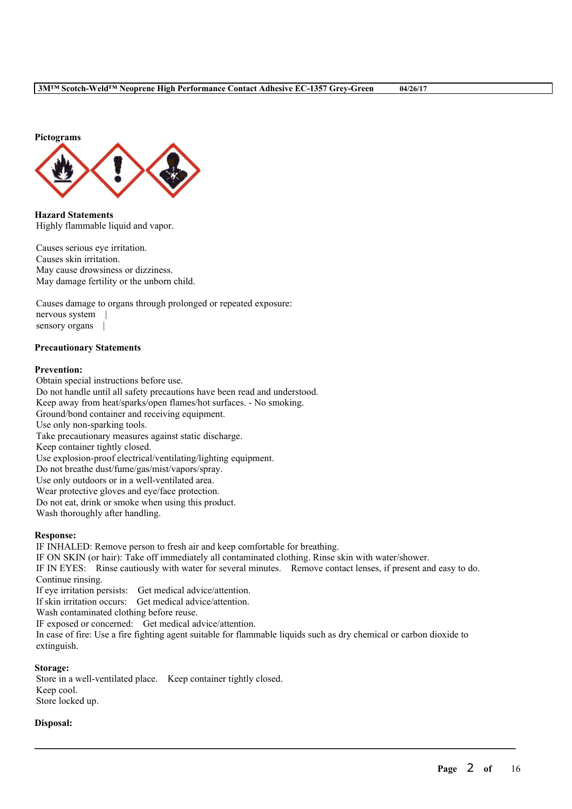

**Hazard Statements** Highly flammable liquid and vapor.

Causes serious eye irritation. Causes skin irritation. May cause drowsiness or dizziness. May damage fertility or the unborn child.

Causes damage to organs through prolonged or repeated exposure: nervous system | sensory organs |

# **Precautionary Statements**

#### **Prevention:**

Obtain special instructions before use. Do not handle until all safety precautions have been read and understood. Keep away from heat/sparks/open flames/hot surfaces. - No smoking. Ground/bond container and receiving equipment. Use only non-sparking tools. Take precautionary measures against static discharge. Keep container tightly closed. Use explosion-proof electrical/ventilating/lighting equipment. Do not breathe dust/fume/gas/mist/vapors/spray. Use only outdoors or in a well-ventilated area. Wear protective gloves and eye/face protection. Do not eat, drink or smoke when using this product. Wash thoroughly after handling.

# **Response:**

IF INHALED: Remove person to fresh air and keep comfortable for breathing.

IF ON SKIN (or hair): Take off immediately all contaminated clothing. Rinse skin with water/shower.

IF IN EYES: Rinse cautiously with water for several minutes. Remove contact lenses, if present and easy to do. Continue rinsing.

If eye irritation persists: Get medical advice/attention.

If skin irritation occurs: Get medical advice/attention.

Wash contaminated clothing before reuse.

IF exposed or concerned: Get medical advice/attention.

In case of fire: Use a fire fighting agent suitable for flammable liquids such as dry chemical or carbon dioxide to extinguish.

 $\mathcal{L}_\mathcal{L} = \mathcal{L}_\mathcal{L} = \mathcal{L}_\mathcal{L} = \mathcal{L}_\mathcal{L} = \mathcal{L}_\mathcal{L} = \mathcal{L}_\mathcal{L} = \mathcal{L}_\mathcal{L} = \mathcal{L}_\mathcal{L} = \mathcal{L}_\mathcal{L} = \mathcal{L}_\mathcal{L} = \mathcal{L}_\mathcal{L} = \mathcal{L}_\mathcal{L} = \mathcal{L}_\mathcal{L} = \mathcal{L}_\mathcal{L} = \mathcal{L}_\mathcal{L} = \mathcal{L}_\mathcal{L} = \mathcal{L}_\mathcal{L}$ 

# **Storage:**

Store in a well-ventilated place. Keep container tightly closed. Keep cool. Store locked up.

#### **Disposal:**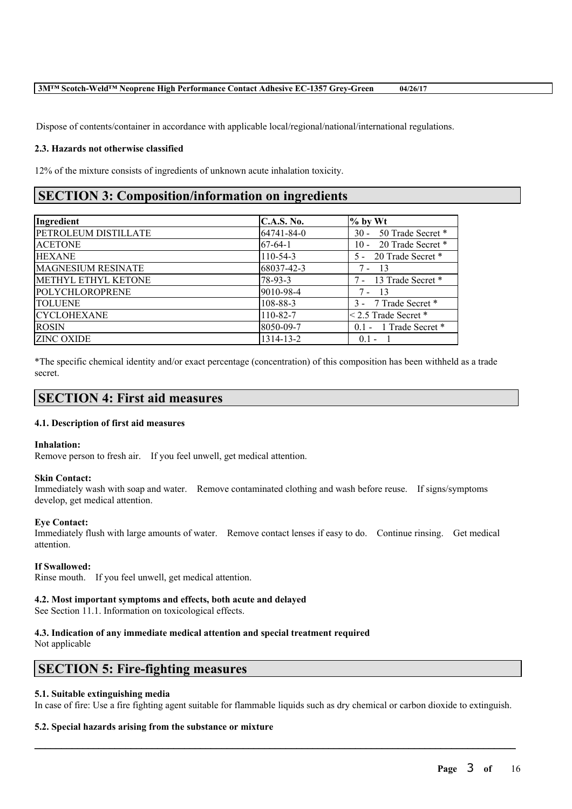Dispose of contents/container in accordance with applicable local/regional/national/international regulations.

# **2.3. Hazards not otherwise classified**

12% of the mixture consists of ingredients of unknown acute inhalation toxicity.

# **SECTION 3: Composition/information on ingredients**

| Ingredient                  | <b>C.A.S. No.</b> | $%$ by Wt                |
|-----------------------------|-------------------|--------------------------|
| <b>PETROLEUM DISTILLATE</b> | 64741-84-0        | 30 - 50 Trade Secret *   |
| <b>ACETONE</b>              | $67-64-1$         | 10 - 20 Trade Secret *   |
| <b>HEXANE</b>               | $110-54-3$        | 5 - 20 Trade Secret *    |
| <b>MAGNESIUM RESINATE</b>   | 68037-42-3        | - 13<br>7 -              |
| METHYL ETHYL KETONE         | $78-93-3$         | 7 - 13 Trade Secret *    |
| POLYCHLOROPRENE             | 9010-98-4         | $7 - 13$                 |
| <b>TOLUENE</b>              | 108-88-3          | 3 - 7 Trade Secret *     |
| <b>CYCLOHEXANE</b>          | 110-82-7          | $<$ 2.5 Trade Secret $*$ |
| <b>ROSIN</b>                | 8050-09-7         | 0.1 - 1 Trade Secret *   |
| <b>ZINC OXIDE</b>           | 1314-13-2         | $0.1 -$                  |

\*The specific chemical identity and/or exact percentage (concentration) of this composition has been withheld as a trade secret.

# **SECTION 4: First aid measures**

# **4.1. Description of first aid measures**

# **Inhalation:**

Remove person to fresh air. If you feel unwell, get medical attention.

# **Skin Contact:**

Immediately wash with soap and water. Remove contaminated clothing and wash before reuse. If signs/symptoms develop, get medical attention.

# **Eye Contact:**

Immediately flush with large amounts of water. Remove contact lenses if easy to do. Continue rinsing. Get medical attention.

# **If Swallowed:**

Rinse mouth. If you feel unwell, get medical attention.

# **4.2. Most important symptoms and effects, both acute and delayed**

See Section 11.1. Information on toxicological effects.

# **4.3. Indication of any immediate medical attention and special treatment required**

Not applicable

# **SECTION 5: Fire-fighting measures**

# **5.1. Suitable extinguishing media**

In case of fire: Use a fire fighting agent suitable for flammable liquids such as dry chemical or carbon dioxide to extinguish.

 $\mathcal{L}_\mathcal{L} = \mathcal{L}_\mathcal{L} = \mathcal{L}_\mathcal{L} = \mathcal{L}_\mathcal{L} = \mathcal{L}_\mathcal{L} = \mathcal{L}_\mathcal{L} = \mathcal{L}_\mathcal{L} = \mathcal{L}_\mathcal{L} = \mathcal{L}_\mathcal{L} = \mathcal{L}_\mathcal{L} = \mathcal{L}_\mathcal{L} = \mathcal{L}_\mathcal{L} = \mathcal{L}_\mathcal{L} = \mathcal{L}_\mathcal{L} = \mathcal{L}_\mathcal{L} = \mathcal{L}_\mathcal{L} = \mathcal{L}_\mathcal{L}$ 

# **5.2. Special hazards arising from the substance or mixture**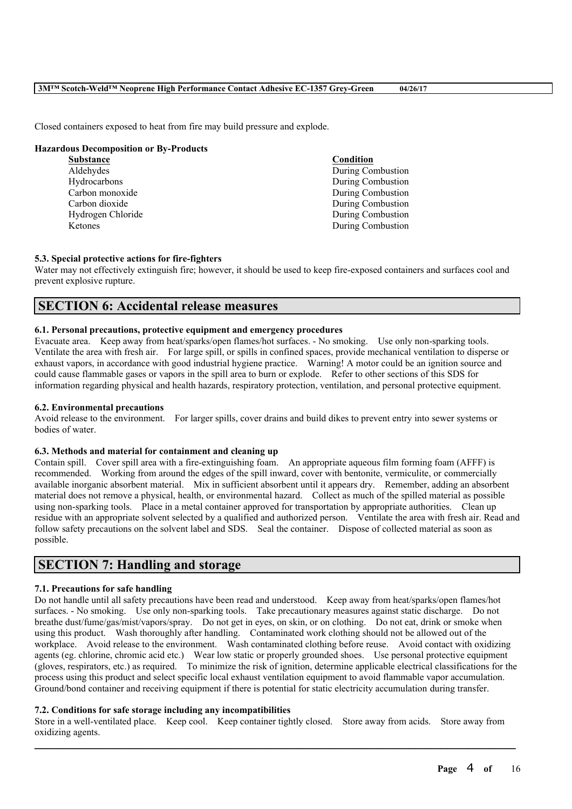Closed containers exposed to heat from fire may build pressure and explode.

#### **Hazardous Decomposition or By-Products**

| <b>Substance</b>  | Condition         |
|-------------------|-------------------|
| Aldehydes         | During Combustion |
| Hydrocarbons      | During Combustion |
| Carbon monoxide   | During Combustion |
| Carbon dioxide    | During Combustion |
| Hydrogen Chloride | During Combustion |
| Ketones           | During Combustion |
|                   |                   |

#### **5.3. Special protective actions for fire-fighters**

Water may not effectively extinguish fire; however, it should be used to keep fire-exposed containers and surfaces cool and prevent explosive rupture.

# **SECTION 6: Accidental release measures**

#### **6.1. Personal precautions, protective equipment and emergency procedures**

Evacuate area. Keep away from heat/sparks/open flames/hot surfaces. - No smoking. Use only non-sparking tools. Ventilate the area with fresh air. For large spill, or spills in confined spaces, provide mechanical ventilation to disperse or exhaust vapors, in accordance with good industrial hygiene practice. Warning! A motor could be an ignition source and could cause flammable gases or vapors in the spill area to burn or explode. Refer to other sections of this SDS for information regarding physical and health hazards, respiratory protection, ventilation, and personal protective equipment.

# **6.2. Environmental precautions**

Avoid release to the environment. For larger spills, cover drains and build dikes to prevent entry into sewer systems or bodies of water.

#### **6.3. Methods and material for containment and cleaning up**

Contain spill. Cover spill area with a fire-extinguishing foam. An appropriate aqueous film forming foam (AFFF) is recommended. Working from around the edges of the spill inward, cover with bentonite, vermiculite, or commercially available inorganic absorbent material. Mix in sufficient absorbent until it appears dry. Remember, adding an absorbent material does not remove a physical, health, or environmental hazard. Collect as much of the spilled material as possible using non-sparking tools. Place in a metal container approved for transportation by appropriate authorities. Clean up residue with an appropriate solvent selected by a qualified and authorized person. Ventilate the area with fresh air. Read and follow safety precautions on the solvent label and SDS. Seal the container. Dispose of collected material as soon as possible.

# **SECTION 7: Handling and storage**

# **7.1. Precautions for safe handling**

Do not handle until all safety precautions have been read and understood. Keep away from heat/sparks/open flames/hot surfaces. - No smoking. Use only non-sparking tools. Take precautionary measures against static discharge. Do not breathe dust/fume/gas/mist/vapors/spray. Do not get in eyes, on skin, or on clothing. Do not eat, drink or smoke when using this product. Wash thoroughly after handling. Contaminated work clothing should not be allowed out of the workplace. Avoid release to the environment. Wash contaminated clothing before reuse. Avoid contact with oxidizing agents (eg. chlorine, chromic acid etc.) Wear low static or properly grounded shoes. Use personal protective equipment (gloves, respirators, etc.) as required. To minimize the risk of ignition, determine applicable electrical classifications for the process using this product and select specific local exhaust ventilation equipment to avoid flammable vapor accumulation. Ground/bond container and receiving equipment if there is potential for static electricity accumulation during transfer.

### **7.2. Conditions for safe storage including any incompatibilities**

Store in a well-ventilated place. Keep cool. Keep container tightly closed. Store away from acids. Store away from oxidizing agents.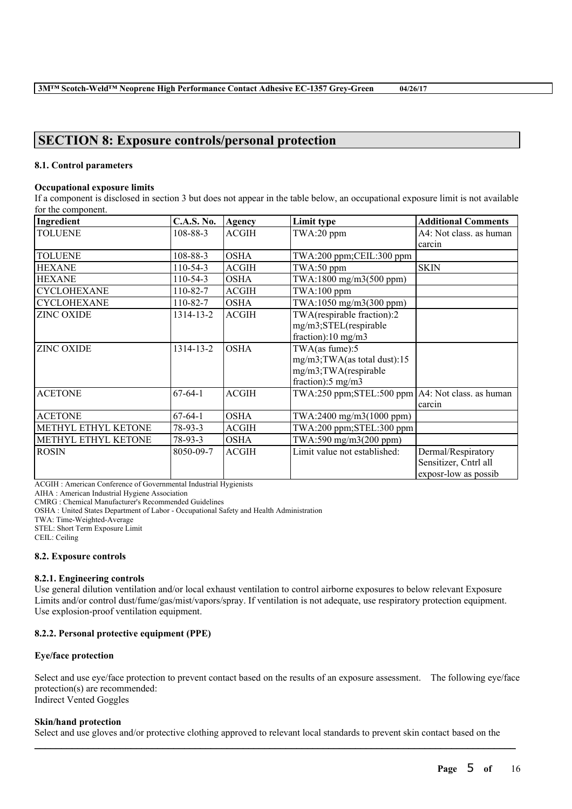# **SECTION 8: Exposure controls/personal protection**

# **8.1. Control parameters**

#### **Occupational exposure limits**

If a component is disclosed in section 3 but does not appear in the table below, an occupational exposure limit is not available for the component.

| Ingredient          | <b>C.A.S. No.</b> | Agency       | Limit type                                           | <b>Additional Comments</b> |
|---------------------|-------------------|--------------|------------------------------------------------------|----------------------------|
| <b>TOLUENE</b>      | 108-88-3          | <b>ACGIH</b> | TWA:20 ppm                                           | A4: Not class. as human    |
|                     |                   |              |                                                      | carcin                     |
| <b>TOLUENE</b>      | 108-88-3          | <b>OSHA</b>  | TWA:200 ppm;CEIL:300 ppm                             |                            |
| <b>HEXANE</b>       | $110-54-3$        | <b>ACGIH</b> | $TWA:50$ ppm                                         | <b>SKIN</b>                |
| <b>HEXANE</b>       | $110-54-3$        | <b>OSHA</b>  | $TWA:1800$ mg/m $3(500$ ppm)                         |                            |
| <b>CYCLOHEXANE</b>  | 110-82-7          | <b>ACGIH</b> | $TWA:100$ ppm                                        |                            |
| <b>CYCLOHEXANE</b>  | $110 - 82 - 7$    | <b>OSHA</b>  | TWA:1050 mg/m3(300 ppm)                              |                            |
| <b>ZINC OXIDE</b>   | 1314-13-2         | <b>ACGIH</b> | TWA(respirable fraction):2                           |                            |
|                     |                   |              | mg/m3;STEL(respirable                                |                            |
|                     |                   |              | fraction):10 mg/m3                                   |                            |
| <b>ZINC OXIDE</b>   | 1314-13-2         | <b>OSHA</b>  | TWA(as fume):5                                       |                            |
|                     |                   |              | mg/m3;TWA(as total dust):15                          |                            |
|                     |                   |              | mg/m3;TWA(respirable                                 |                            |
|                     |                   |              | fraction): $5 \text{ mg/m}$ 3                        |                            |
| <b>ACETONE</b>      | $67-64-1$         | <b>ACGIH</b> | TWA:250 ppm; STEL:500 ppm $AA$ : Not class. as human |                            |
|                     |                   |              |                                                      | carcin                     |
| <b>ACETONE</b>      | $67-64-1$         | <b>OSHA</b>  | TWA:2400 mg/m3(1000 ppm)                             |                            |
| METHYL ETHYL KETONE | $78-93-3$         | <b>ACGIH</b> | TWA:200 ppm;STEL:300 ppm                             |                            |
| METHYL ETHYL KETONE | 78-93-3           | <b>OSHA</b>  | TWA:590 mg/m3(200 ppm)                               |                            |
| <b>ROSIN</b>        | 8050-09-7         | <b>ACGIH</b> | Limit value not established:                         | Dermal/Respiratory         |
|                     |                   |              |                                                      | Sensitizer, Cntrl all      |
|                     |                   |              |                                                      | exposr-low as possib       |

ACGIH : American Conference of Governmental Industrial Hygienists

AIHA : American Industrial Hygiene Association

CMRG : Chemical Manufacturer's Recommended Guidelines

OSHA : United States Department of Labor - Occupational Safety and Health Administration

TWA: Time-Weighted-Average

STEL: Short Term Exposure Limit

CEIL: Ceiling

#### **8.2. Exposure controls**

#### **8.2.1. Engineering controls**

Use general dilution ventilation and/or local exhaust ventilation to control airborne exposures to below relevant Exposure Limits and/or control dust/fume/gas/mist/vapors/spray. If ventilation is not adequate, use respiratory protection equipment. Use explosion-proof ventilation equipment.

# **8.2.2. Personal protective equipment (PPE)**

# **Eye/face protection**

Select and use eye/face protection to prevent contact based on the results of an exposure assessment. The following eye/face protection(s) are recommended: Indirect Vented Goggles

#### **Skin/hand protection**

Select and use gloves and/or protective clothing approved to relevant local standards to prevent skin contact based on the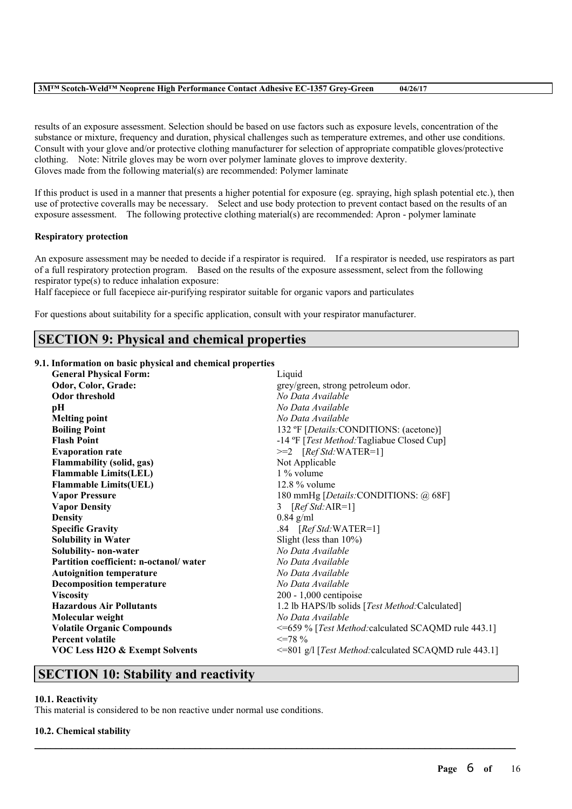results of an exposure assessment. Selection should be based on use factors such as exposure levels, concentration of the substance or mixture, frequency and duration, physical challenges such as temperature extremes, and other use conditions. Consult with your glove and/or protective clothing manufacturer for selection of appropriate compatible gloves/protective clothing. Note: Nitrile gloves may be worn over polymer laminate gloves to improve dexterity. Gloves made from the following material(s) are recommended: Polymer laminate

If this product is used in a manner that presents a higher potential for exposure (eg. spraying, high splash potential etc.), then use of protective coveralls may be necessary. Select and use body protection to prevent contact based on the results of an exposure assessment. The following protective clothing material(s) are recommended: Apron - polymer laminate

# **Respiratory protection**

An exposure assessment may be needed to decide if a respirator is required. If a respirator is needed, use respirators as part of a full respiratory protection program. Based on the results of the exposure assessment, select from the following respirator type(s) to reduce inhalation exposure:

Half facepiece or full facepiece air-purifying respirator suitable for organic vapors and particulates

For questions about suitability for a specific application, consult with your respirator manufacturer.

# **SECTION 9: Physical and chemical properties**

# **9.1. Information on basic physical and chemical properties**

| <b>General Physical Form:</b>             | Liquid                                                |
|-------------------------------------------|-------------------------------------------------------|
| Odor, Color, Grade:                       | grey/green, strong petroleum odor.                    |
| Odor threshold                            | No Data Available                                     |
| pН                                        | No Data Available                                     |
| <b>Melting point</b>                      | No Data Available                                     |
| <b>Boiling Point</b>                      | 132 °F [Details:CONDITIONS: (acetone)]                |
| <b>Flash Point</b>                        | -14 °F [Test Method: Tagliabue Closed Cup]            |
| <b>Evaporation rate</b>                   | $>=2$ [Ref Std:WATER=1]                               |
| <b>Flammability (solid, gas)</b>          | Not Applicable                                        |
| <b>Flammable Limits(LEL)</b>              | $1\%$ volume                                          |
| <b>Flammable Limits(UEL)</b>              | $12.8\%$ volume                                       |
| <b>Vapor Pressure</b>                     | 180 mmHg [Details:CONDITIONS: @ 68F]                  |
| <b>Vapor Density</b>                      | $[RefStd:AIR=1]$<br>3                                 |
| <b>Density</b>                            | $0.84$ g/ml                                           |
| <b>Specific Gravity</b>                   | .84 $[RefStd:WATER=1]$                                |
| <b>Solubility in Water</b>                | Slight (less than $10\%$ )                            |
| Solubility- non-water                     | No Data Available                                     |
| Partition coefficient: n-octanol/water    | No Data Available                                     |
| <b>Autoignition temperature</b>           | No Data Available                                     |
| <b>Decomposition temperature</b>          | No Data Available                                     |
| <b>Viscosity</b>                          | $200 - 1,000$ centipoise                              |
| <b>Hazardous Air Pollutants</b>           | 1.2 lb HAPS/lb solids [Test Method:Calculated]        |
| Molecular weight                          | No Data Available                                     |
| <b>Volatile Organic Compounds</b>         | <=659 % [Test Method: calculated SCAQMD rule 443.1]   |
| <b>Percent volatile</b>                   | $\leq$ 78 %                                           |
| <b>VOC Less H2O &amp; Exempt Solvents</b> | <=801 g/l [Test Method: calculated SCAQMD rule 443.1] |
|                                           |                                                       |

 $\mathcal{L}_\mathcal{L} = \mathcal{L}_\mathcal{L} = \mathcal{L}_\mathcal{L} = \mathcal{L}_\mathcal{L} = \mathcal{L}_\mathcal{L} = \mathcal{L}_\mathcal{L} = \mathcal{L}_\mathcal{L} = \mathcal{L}_\mathcal{L} = \mathcal{L}_\mathcal{L} = \mathcal{L}_\mathcal{L} = \mathcal{L}_\mathcal{L} = \mathcal{L}_\mathcal{L} = \mathcal{L}_\mathcal{L} = \mathcal{L}_\mathcal{L} = \mathcal{L}_\mathcal{L} = \mathcal{L}_\mathcal{L} = \mathcal{L}_\mathcal{L}$ 

# **SECTION 10: Stability and reactivity**

# **10.1. Reactivity**

This material is considered to be non reactive under normal use conditions.

# **10.2. Chemical stability**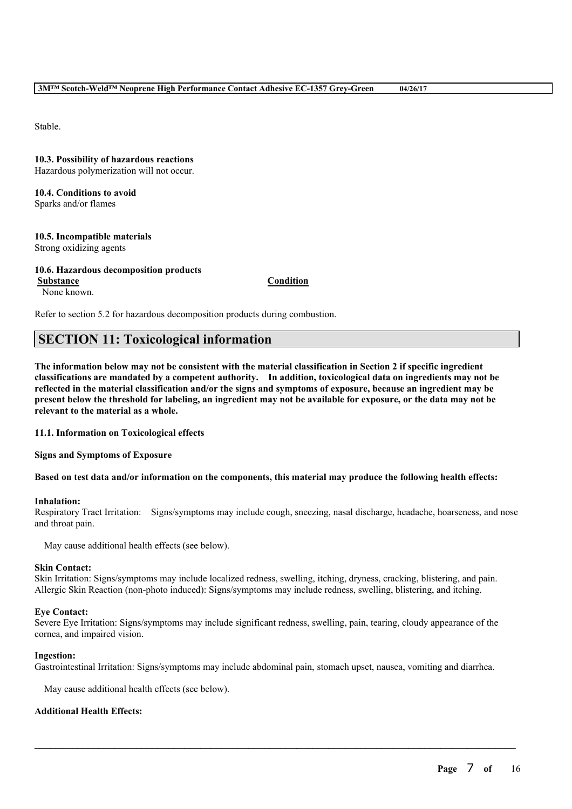Stable.

**10.3. Possibility of hazardous reactions** Hazardous polymerization will not occur.

**10.4. Conditions to avoid** Sparks and/or flames

**10.5. Incompatible materials** Strong oxidizing agents

**10.6. Hazardous decomposition products Substance Condition** None known.

Refer to section 5.2 for hazardous decomposition products during combustion.

# **SECTION 11: Toxicological information**

The information below may not be consistent with the material classification in Section 2 if specific ingredient **classifications are mandated by a competent authority. In addition, toxicological data on ingredients may not be** reflected in the material classification and/or the signs and symptoms of exposure, because an ingredient may be present below the threshold for labeling, an ingredient may not be available for exposure, or the data may not be **relevant to the material as a whole.**

**11.1. Information on Toxicological effects**

**Signs and Symptoms of Exposure**

Based on test data and/or information on the components, this material may produce the following health effects:

#### **Inhalation:**

Respiratory Tract Irritation: Signs/symptoms may include cough, sneezing, nasal discharge, headache, hoarseness, and nose and throat pain.

May cause additional health effects (see below).

#### **Skin Contact:**

Skin Irritation: Signs/symptoms may include localized redness, swelling, itching, dryness, cracking, blistering, and pain. Allergic Skin Reaction (non-photo induced): Signs/symptoms may include redness, swelling, blistering, and itching.

#### **Eye Contact:**

Severe Eye Irritation: Signs/symptoms may include significant redness, swelling, pain, tearing, cloudy appearance of the cornea, and impaired vision.

#### **Ingestion:**

Gastrointestinal Irritation: Signs/symptoms may include abdominal pain, stomach upset, nausea, vomiting and diarrhea.

 $\mathcal{L}_\mathcal{L} = \mathcal{L}_\mathcal{L} = \mathcal{L}_\mathcal{L} = \mathcal{L}_\mathcal{L} = \mathcal{L}_\mathcal{L} = \mathcal{L}_\mathcal{L} = \mathcal{L}_\mathcal{L} = \mathcal{L}_\mathcal{L} = \mathcal{L}_\mathcal{L} = \mathcal{L}_\mathcal{L} = \mathcal{L}_\mathcal{L} = \mathcal{L}_\mathcal{L} = \mathcal{L}_\mathcal{L} = \mathcal{L}_\mathcal{L} = \mathcal{L}_\mathcal{L} = \mathcal{L}_\mathcal{L} = \mathcal{L}_\mathcal{L}$ 

May cause additional health effects (see below).

# **Additional Health Effects:**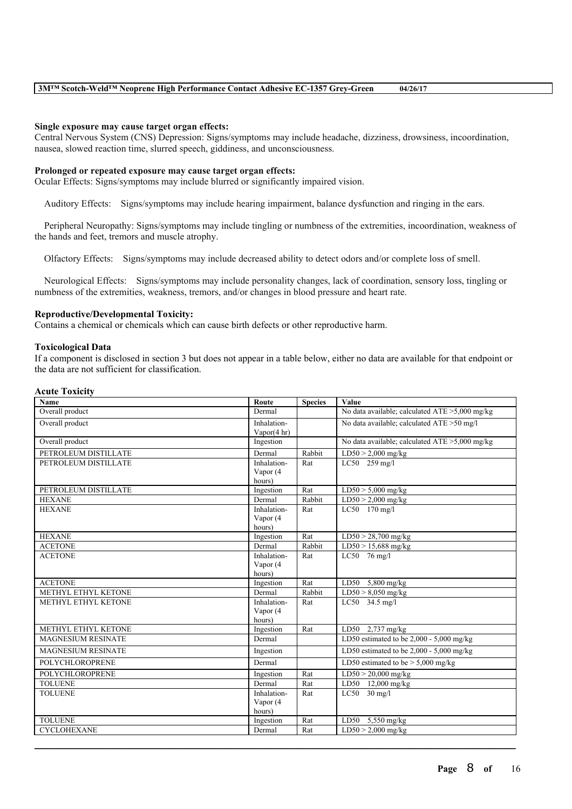#### **Single exposure may cause target organ effects:**

Central Nervous System (CNS) Depression: Signs/symptoms may include headache, dizziness, drowsiness, incoordination, nausea, slowed reaction time, slurred speech, giddiness, and unconsciousness.

### **Prolonged or repeated exposure may cause target organ effects:**

Ocular Effects: Signs/symptoms may include blurred or significantly impaired vision.

Auditory Effects: Signs/symptoms may include hearing impairment, balance dysfunction and ringing in the ears.

Peripheral Neuropathy: Signs/symptoms may include tingling or numbness of the extremities, incoordination, weakness of the hands and feet, tremors and muscle atrophy.

Olfactory Effects: Signs/symptoms may include decreased ability to detect odors and/or complete loss of smell.

Neurological Effects: Signs/symptoms may include personality changes, lack of coordination, sensory loss, tingling or numbness of the extremities, weakness, tremors, and/or changes in blood pressure and heart rate.

### **Reproductive/Developmental Toxicity:**

Contains a chemical or chemicals which can cause birth defects or other reproductive harm.

#### **Toxicological Data**

If a component is disclosed in section 3 but does not appear in a table below, either no data are available for that endpoint or the data are not sufficient for classification.

#### **Acute Toxicity**

| Name                      | Route       | <b>Species</b> | Value                                             |
|---------------------------|-------------|----------------|---------------------------------------------------|
| Overall product           | Dermal      |                | No data available; calculated $ATE > 5,000$ mg/kg |
| Overall product           | Inhalation- |                | No data available; calculated ATE >50 mg/l        |
|                           | Vapor(4 hr) |                |                                                   |
| Overall product           | Ingestion   |                | No data available; calculated ATE >5,000 mg/kg    |
| PETROLEUM DISTILLATE      | Dermal      | Rabbit         | $LD50 > 2,000$ mg/kg                              |
| PETROLEUM DISTILLATE      | Inhalation- | Rat            | LC50 259 mg/l                                     |
|                           | Vapor (4    |                |                                                   |
|                           | hours)      |                |                                                   |
| PETROLEUM DISTILLATE      | Ingestion   | Rat            | $LD50 > 5,000$ mg/kg                              |
| <b>HEXANE</b>             | Dermal      | Rabbit         | $LD50 > 2,000$ mg/kg                              |
| <b>HEXANE</b>             | Inhalation- | Rat            | LC50 170 mg/l                                     |
|                           | Vapor (4    |                |                                                   |
|                           | hours)      |                |                                                   |
| <b>HEXANE</b>             | Ingestion   | Rat            | $LD50 > 28,700$ mg/kg                             |
| <b>ACETONE</b>            | Dermal      | Rabbit         | $LD50 > 15,688$ mg/kg                             |
| <b>ACETONE</b>            | Inhalation- | Rat            | $LC50$ 76 mg/l                                    |
|                           | Vapor (4    |                |                                                   |
|                           | hours)      |                |                                                   |
| <b>ACETONE</b>            | Ingestion   | Rat            | LD50 5,800 mg/kg                                  |
| METHYL ETHYL KETONE       | Dermal      | Rabbit         | $LD50 > 8,050$ mg/kg                              |
| METHYL ETHYL KETONE       | Inhalation- | Rat            | LC50 34.5 mg/l                                    |
|                           | Vapor (4    |                |                                                   |
|                           | hours)      |                |                                                   |
| METHYL ETHYL KETONE       | Ingestion   | Rat            | LD50 2,737 mg/kg                                  |
| <b>MAGNESIUM RESINATE</b> | Dermal      |                | LD50 estimated to be $2,000 - 5,000$ mg/kg        |
| <b>MAGNESIUM RESINATE</b> | Ingestion   |                | LD50 estimated to be $2,000 - 5,000$ mg/kg        |
| <b>POLYCHLOROPRENE</b>    | Dermal      |                | LD50 estimated to be $> 5,000$ mg/kg              |
| <b>POLYCHLOROPRENE</b>    | Ingestion   | Rat            | $LD50 > 20,000$ mg/kg                             |
| <b>TOLUENE</b>            | Dermal      | Rat            | LD50 12,000 mg/kg                                 |
| <b>TOLUENE</b>            | Inhalation- | Rat            | $LC50$ 30 mg/l                                    |
|                           | Vapor (4    |                |                                                   |
|                           | hours)      |                |                                                   |
| <b>TOLUENE</b>            | Ingestion   | Rat            | LD50 $5,550$ mg/kg                                |
| <b>CYCLOHEXANE</b>        | Dermal      | Rat            | $LD50 > 2,000$ mg/kg                              |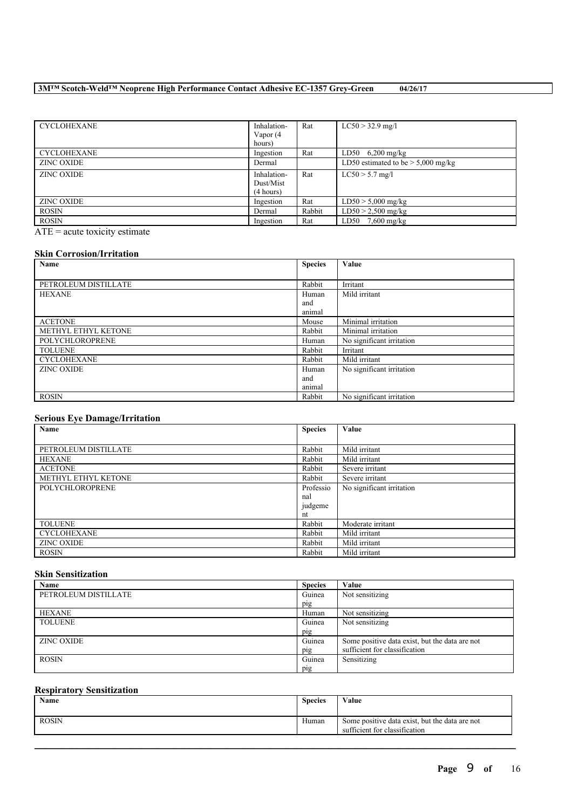| <b>CYCLOHEXANE</b> | Inhalation-<br>Vapor (4 | Rat    | $LC50 > 32.9$ mg/l                   |
|--------------------|-------------------------|--------|--------------------------------------|
|                    | hours)                  |        |                                      |
| <b>CYCLOHEXANE</b> | Ingestion               | Rat    | LD50 $6,200$ mg/kg                   |
| <b>ZINC OXIDE</b>  | Dermal                  |        | LD50 estimated to be $> 5,000$ mg/kg |
| <b>ZINC OXIDE</b>  | Inhalation-             | Rat    | $LC50 > 5.7$ mg/l                    |
|                    | Dust/Mist               |        |                                      |
|                    | (4 hours)               |        |                                      |
| <b>ZINC OXIDE</b>  | Ingestion               | Rat    | $LD50 > 5,000$ mg/kg                 |
| <b>ROSIN</b>       | Dermal                  | Rabbit | $LD50 > 2,500$ mg/kg                 |
| <b>ROSIN</b>       | Ingestion               | Rat    | $LD50$ 7.600 mg/kg                   |

 $ATE = acute$  toxicity estimate

### **Skin Corrosion/Irritation**

| Name                   | <b>Species</b> | Value                     |
|------------------------|----------------|---------------------------|
|                        |                |                           |
| PETROLEUM DISTILLATE   | Rabbit         | Irritant                  |
| <b>HEXANE</b>          | Human          | Mild irritant             |
|                        | and            |                           |
|                        | animal         |                           |
| <b>ACETONE</b>         | Mouse          | Minimal irritation        |
| METHYL ETHYL KETONE    | Rabbit         | Minimal irritation        |
| <b>POLYCHLOROPRENE</b> | Human          | No significant irritation |
| <b>TOLUENE</b>         | Rabbit         | Irritant                  |
| <b>CYCLOHEXANE</b>     | Rabbit         | Mild irritant             |
| <b>ZINC OXIDE</b>      | Human          | No significant irritation |
|                        | and            |                           |
|                        | animal         |                           |
| <b>ROSIN</b>           | Rabbit         | No significant irritation |

# **Serious Eye Damage/Irritation**

| $\tilde{\phantom{a}}$<br>Name | <b>Species</b> | Value                     |
|-------------------------------|----------------|---------------------------|
|                               |                |                           |
| PETROLEUM DISTILLATE          | Rabbit         | Mild irritant             |
| <b>HEXANE</b>                 | Rabbit         | Mild irritant             |
| <b>ACETONE</b>                | Rabbit         | Severe irritant           |
| METHYL ETHYL KETONE           | Rabbit         | Severe irritant           |
| POLYCHLOROPRENE               | Professio      | No significant irritation |
|                               | nal            |                           |
|                               | judgeme        |                           |
|                               | nt             |                           |
| <b>TOLUENE</b>                | Rabbit         | Moderate irritant         |
| <b>CYCLOHEXANE</b>            | Rabbit         | Mild irritant             |
| <b>ZINC OXIDE</b>             | Rabbit         | Mild irritant             |
| <b>ROSIN</b>                  | Rabbit         | Mild irritant             |

# **Skin Sensitization**

| Name                 | <b>Species</b> | Value                                          |
|----------------------|----------------|------------------------------------------------|
| PETROLEUM DISTILLATE | Guinea         | Not sensitizing                                |
|                      | pig            |                                                |
| <b>HEXANE</b>        | Human          | Not sensitizing                                |
| <b>TOLUENE</b>       | Guinea         | Not sensitizing                                |
|                      | pig            |                                                |
| <b>ZINC OXIDE</b>    | Guinea         | Some positive data exist, but the data are not |
|                      | pig            | sufficient for classification                  |
| <b>ROSIN</b>         | Guinea         | Sensitizing                                    |
|                      | pig            |                                                |

# **Respiratory Sensitization**

| Name         | <b>Species</b> | Value                                                                           |
|--------------|----------------|---------------------------------------------------------------------------------|
| <b>ROSIN</b> | Human          | Some positive data exist, but the data are not<br>sufficient for classification |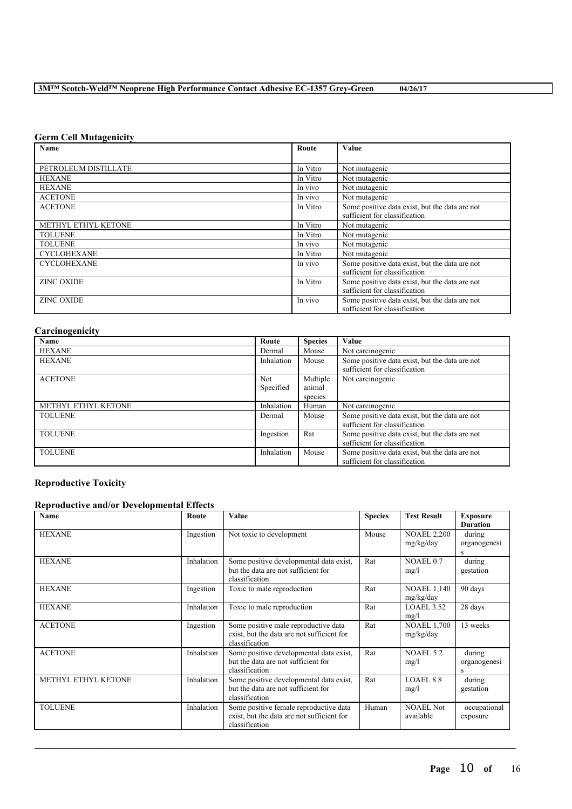# **Germ Cell Mutagenicity**

| <b>Name</b>          | Route    | Value                                          |
|----------------------|----------|------------------------------------------------|
|                      |          |                                                |
| PETROLEUM DISTILLATE | In Vitro | Not mutagenic                                  |
| <b>HEXANE</b>        | In Vitro | Not mutagenic                                  |
| <b>HEXANE</b>        | In vivo  | Not mutagenic                                  |
| <b>ACETONE</b>       | In vivo  | Not mutagenic                                  |
| <b>ACETONE</b>       | In Vitro | Some positive data exist, but the data are not |
|                      |          | sufficient for classification                  |
| METHYL ETHYL KETONE  | In Vitro | Not mutagenic                                  |
| <b>TOLUENE</b>       | In Vitro | Not mutagenic                                  |
| <b>TOLUENE</b>       | In vivo  | Not mutagenic                                  |
| <b>CYCLOHEXANE</b>   | In Vitro | Not mutagenic                                  |
| <b>CYCLOHEXANE</b>   | In vivo  | Some positive data exist, but the data are not |
|                      |          | sufficient for classification                  |
| <b>ZINC OXIDE</b>    | In Vitro | Some positive data exist, but the data are not |
|                      |          | sufficient for classification                  |
| <b>ZINC OXIDE</b>    | In vivo  | Some positive data exist, but the data are not |
|                      |          | sufficient for classification                  |

# **Carcinogenicity**

| Name                | Route      | <b>Species</b>     | Value                                                                           |
|---------------------|------------|--------------------|---------------------------------------------------------------------------------|
| <b>HEXANE</b>       | Dermal     | Mouse              | Not carcinogenic                                                                |
| <b>HEXANE</b>       | Inhalation | Mouse              | Some positive data exist, but the data are not<br>sufficient for classification |
| <b>ACETONE</b>      | <b>Not</b> | Multiple<br>animal | Not carcinogenic                                                                |
|                     | Specified  | species            |                                                                                 |
| METHYL ETHYL KETONE | Inhalation | Human              | Not carcinogenic                                                                |
| <b>TOLUENE</b>      | Dermal     | Mouse              | Some positive data exist, but the data are not<br>sufficient for classification |
| <b>TOLUENE</b>      | Ingestion  | Rat                | Some positive data exist, but the data are not<br>sufficient for classification |
| <b>TOLUENE</b>      | Inhalation | Mouse              | Some positive data exist, but the data are not<br>sufficient for classification |

# **Reproductive Toxicity**

# **Reproductive and/or Developmental Effects**

| Name                | Route      | Value                                                                                                  | <b>Species</b> | <b>Test Result</b>              | <b>Exposure</b><br><b>Duration</b> |
|---------------------|------------|--------------------------------------------------------------------------------------------------------|----------------|---------------------------------|------------------------------------|
| <b>HEXANE</b>       | Ingestion  | Not toxic to development                                                                               | Mouse          | <b>NOAEL 2,200</b><br>mg/kg/day | during<br>organogenesi<br>S        |
| <b>HEXANE</b>       | Inhalation | Some positive developmental data exist,<br>but the data are not sufficient for<br>classification       | Rat            | NOAEL 0.7<br>mg/l               | during<br>gestation                |
| <b>HEXANE</b>       | Ingestion  | Toxic to male reproduction                                                                             | Rat            | <b>NOAEL 1,140</b><br>mg/kg/day | 90 days                            |
| <b>HEXANE</b>       | Inhalation | Toxic to male reproduction                                                                             | Rat            | LOAEL 3.52<br>mg/l              | 28 days                            |
| <b>ACETONE</b>      | Ingestion  | Some positive male reproductive data<br>exist, but the data are not sufficient for<br>classification   | Rat            | <b>NOAEL 1,700</b><br>mg/kg/day | 13 weeks                           |
| <b>ACETONE</b>      | Inhalation | Some positive developmental data exist,<br>but the data are not sufficient for<br>classification       | Rat            | <b>NOAEL 5.2</b><br>mg/l        | during<br>organogenesi<br>S        |
| METHYL ETHYL KETONE | Inhalation | Some positive developmental data exist,<br>but the data are not sufficient for<br>classification       | Rat            | LOAEL 8.8<br>mg/l               | during<br>gestation                |
| <b>TOLUENE</b>      | Inhalation | Some positive female reproductive data<br>exist, but the data are not sufficient for<br>classification | Human          | <b>NOAEL Not</b><br>available   | occupational<br>exposure           |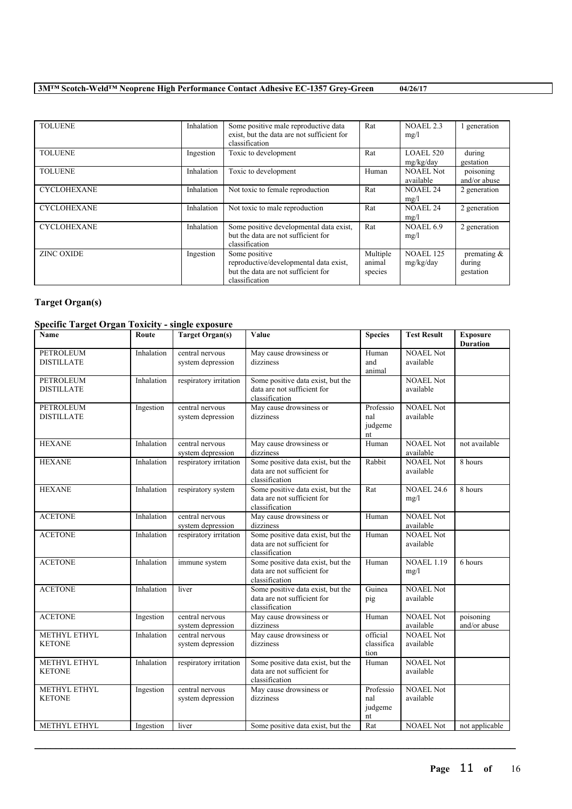TOLUENE Inhalation Some positive male reproductive data exist, but the data are not sufficient for classification Rat NOAEL 2.3 mg/l 1 generation TOLUENE Ingestion Toxic to development Rat LOAEL 520 mg/kg/day during gestation TOLUENE Inhalation Toxic to development Human NOAEL Not available<br>NOAEL 24 poisoning and/or abuse CYCLOHEXANE Inhalation Not toxic to female reproduction Rat mg/l<br>NOAEL 24 2 generation CYCLOHEXANE Inhalation Not toxic to male reproduction Rat mg/l 2 generation CYCLOHEXANE Inhalation Some positive developmental data exist, but the data are not sufficient for classification Rat NOAEL 6.9 mg/l 2 generation ZINC OXIDE Ingestion Some positive reproductive/developmental data exist, but the data are not sufficient for classification Multiple animal species NOAEL 125 mg/kg/day premating & during gestation

# **Target Organ(s)**

# **Specific Target Organ Toxicity - single exposure**

| $\mu$ and $\mu$ and $\mu$ and $\mu$<br>Name | Route      | $\frac{1}{2}$<br><b>Target Organ(s)</b> | Value                                                                              | <b>Species</b>                    | <b>Test Result</b>            | <b>Exposure</b><br><b>Duration</b> |
|---------------------------------------------|------------|-----------------------------------------|------------------------------------------------------------------------------------|-----------------------------------|-------------------------------|------------------------------------|
| <b>PETROLEUM</b><br><b>DISTILLATE</b>       | Inhalation | central nervous<br>system depression    | May cause drowsiness or<br>dizziness                                               | Human<br>and<br>animal            | <b>NOAEL Not</b><br>available |                                    |
| PETROLEUM<br><b>DISTILLATE</b>              | Inhalation | respiratory irritation                  | Some positive data exist, but the<br>data are not sufficient for<br>classification |                                   | <b>NOAEL Not</b><br>available |                                    |
| <b>PETROLEUM</b><br><b>DISTILLATE</b>       | Ingestion  | central nervous<br>system depression    | May cause drowsiness or<br>dizziness                                               | Professio<br>nal<br>judgeme<br>nt | <b>NOAEL Not</b><br>available |                                    |
| <b>HEXANE</b>                               | Inhalation | central nervous<br>system depression    | May cause drowsiness or<br>dizziness                                               | Human                             | <b>NOAEL Not</b><br>available | not available                      |
| <b>HEXANE</b>                               | Inhalation | respiratory irritation                  | Some positive data exist, but the<br>data are not sufficient for<br>classification | Rabbit                            | <b>NOAEL Not</b><br>available | $8$ hours                          |
| <b>HEXANE</b>                               | Inhalation | respiratory system                      | Some positive data exist, but the<br>data are not sufficient for<br>classification | Rat                               | <b>NOAEL 24.6</b><br>mg/l     | 8 hours                            |
| <b>ACETONE</b>                              | Inhalation | central nervous<br>system depression    | May cause drowsiness or<br>dizziness                                               | Human                             | <b>NOAEL Not</b><br>available |                                    |
| <b>ACETONE</b>                              | Inhalation | respiratory irritation                  | Some positive data exist, but the<br>data are not sufficient for<br>classification | Human                             | <b>NOAEL Not</b><br>available |                                    |
| <b>ACETONE</b>                              | Inhalation | immune system                           | Some positive data exist, but the<br>data are not sufficient for<br>classification | Human                             | <b>NOAEL 1.19</b><br>mg/l     | 6 hours                            |
| <b>ACETONE</b>                              | Inhalation | liver                                   | Some positive data exist, but the<br>data are not sufficient for<br>classification | Guinea<br>pig                     | <b>NOAEL Not</b><br>available |                                    |
| <b>ACETONE</b>                              | Ingestion  | central nervous<br>system depression    | May cause drowsiness or<br>dizziness                                               | Human                             | <b>NOAEL Not</b><br>available | poisoning<br>and/or abuse          |
| METHYL ETHYL<br><b>KETONE</b>               | Inhalation | central nervous<br>system depression    | May cause drowsiness or<br>dizziness                                               | official<br>classifica<br>tion    | <b>NOAEL Not</b><br>available |                                    |
| METHYL ETHYL<br><b>KETONE</b>               | Inhalation | respiratory irritation                  | Some positive data exist, but the<br>data are not sufficient for<br>classification | Human                             | <b>NOAEL Not</b><br>available |                                    |
| METHYL ETHYL<br><b>KETONE</b>               | Ingestion  | central nervous<br>system depression    | May cause drowsiness or<br>dizziness                                               | Professio<br>nal<br>judgeme<br>nt | <b>NOAEL Not</b><br>available |                                    |
| METHYL ETHYL                                | Ingestion  | liver                                   | Some positive data exist, but the                                                  | Rat                               | <b>NOAEL Not</b>              | not applicable                     |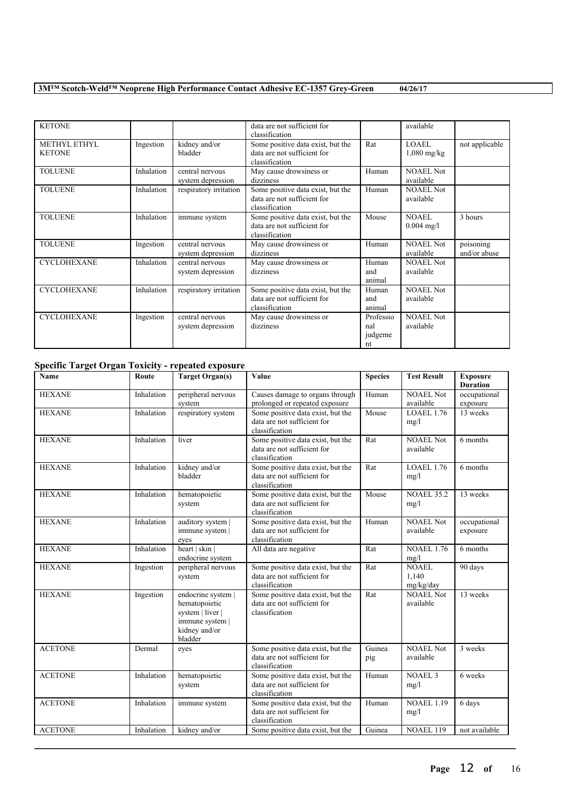KETONE data are not sufficient for classification available METHYL ETHYL **KETONE** Ingestion kidney and/or bladder Some positive data exist, but the data are not sufficient for classification Rat LOAEL 1,080 mg/kg not applicable TOLUENE Inhalation entral nervous system depression May cause drowsiness or dizziness Human | NOAEL Not available TOLUENE Inhalation respiratory irritation Some positive data exist, but the data are not sufficient for classification Human NOAEL Not available TOLUENE Inhalation immune system Some positive data exist, but the data are not sufficient for classification Mouse NOAEL 0.004 mg/l 3 hours TOLUENE Ingestion entral nervous system depression May cause drowsiness or dizziness Human | NOAEL Not available poisoning and/or abuse CYCLOHEXANE Inhalation central nervous system depression May cause drowsiness or dizziness Human and animal NOAEL Not available CYCLOHEXANE Inhalation respiratory irritation Some positive data exist, but the data are not sufficient for classification Human and animal NOAEL Not available CYCLOHEXANE Ingestion central nervous system depression May cause drowsiness or dizziness Professio nal judgeme nt NOAEL Not available

# **Specific Target Organ Toxicity - repeated exposure**

| $\cdots$<br>Name | Route      | <b>Target Organ(s)</b>                                                                                 | Value                                                                              | <b>Species</b> | <b>Test Result</b>                 | <b>Exposure</b><br><b>Duration</b> |
|------------------|------------|--------------------------------------------------------------------------------------------------------|------------------------------------------------------------------------------------|----------------|------------------------------------|------------------------------------|
| <b>HEXANE</b>    | Inhalation | peripheral nervous<br>system                                                                           | Causes damage to organs through<br>prolonged or repeated exposure                  | Human          | <b>NOAEL Not</b><br>available      | occupational<br>exposure           |
| <b>HEXANE</b>    | Inhalation | respiratory system                                                                                     | Some positive data exist, but the<br>data are not sufficient for<br>classification | Mouse          | LOAEL 1.76<br>mg/l                 | 13 weeks                           |
| <b>HEXANE</b>    | Inhalation | liver                                                                                                  | Some positive data exist, but the<br>data are not sufficient for<br>classification | Rat            | NOAEL Not<br>available             | 6 months                           |
| <b>HEXANE</b>    | Inhalation | kidney and/or<br>bladder                                                                               | Some positive data exist, but the<br>data are not sufficient for<br>classification | Rat            | LOAEL 1.76<br>mg/l                 | 6 months                           |
| <b>HEXANE</b>    | Inhalation | hematopoietic<br>system                                                                                | Some positive data exist, but the<br>data are not sufficient for<br>classification | Mouse          | <b>NOAEL 35.2</b><br>mg/l          | 13 weeks                           |
| <b>HEXANE</b>    | Inhalation | auditory system  <br>immune system  <br>eyes                                                           | Some positive data exist, but the<br>data are not sufficient for<br>classification | Human          | <b>NOAEL Not</b><br>available      | occupational<br>exposure           |
| <b>HEXANE</b>    | Inhalation | heart   skin  <br>endocrine system                                                                     | All data are negative                                                              | Rat            | <b>NOAEL 1.76</b><br>mg/l          | 6 months                           |
| <b>HEXANE</b>    | Ingestion  | peripheral nervous<br>system                                                                           | Some positive data exist, but the<br>data are not sufficient for<br>classification | Rat            | <b>NOAEL</b><br>1.140<br>mg/kg/day | 90 days                            |
| <b>HEXANE</b>    | Ingestion  | endocrine system  <br>hematopoietic<br>system   liver  <br>immune system  <br>kidney and/or<br>bladder | Some positive data exist, but the<br>data are not sufficient for<br>classification | Rat            | <b>NOAEL Not</b><br>available      | 13 weeks                           |
| <b>ACETONE</b>   | Dermal     | eyes                                                                                                   | Some positive data exist, but the<br>data are not sufficient for<br>classification | Guinea<br>pig  | <b>NOAEL Not</b><br>available      | 3 weeks                            |
| <b>ACETONE</b>   | Inhalation | hematopoietic<br>system                                                                                | Some positive data exist, but the<br>data are not sufficient for<br>classification | Human          | <b>NOAEL 3</b><br>mg/l             | 6 weeks                            |
| <b>ACETONE</b>   | Inhalation | immune system                                                                                          | Some positive data exist, but the<br>data are not sufficient for<br>classification | Human          | <b>NOAEL 1.19</b><br>mg/l          | 6 days                             |
| <b>ACETONE</b>   | Inhalation | kidney and/or                                                                                          | Some positive data exist, but the                                                  | Guinea         | <b>NOAEL 119</b>                   | not available                      |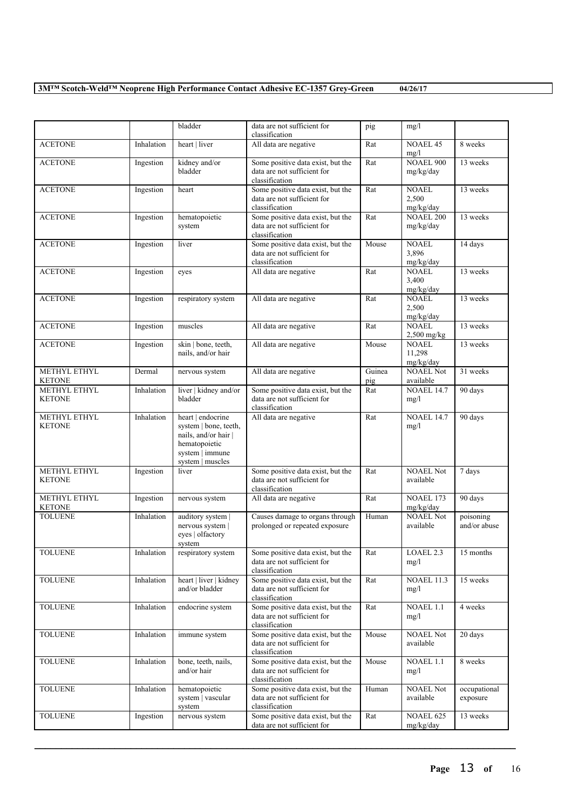|                               |            | bladder                                                                                                                    | data are not sufficient for<br>classification                                      | pig           | mg/l                                |                           |
|-------------------------------|------------|----------------------------------------------------------------------------------------------------------------------------|------------------------------------------------------------------------------------|---------------|-------------------------------------|---------------------------|
| <b>ACETONE</b>                | Inhalation | heart   liver                                                                                                              | All data are negative                                                              | Rat           | <b>NOAEL 45</b><br>mg/l             | 8 weeks                   |
| <b>ACETONE</b>                | Ingestion  | kidney and/or<br>bladder                                                                                                   | Some positive data exist, but the<br>data are not sufficient for<br>classification | Rat           | NOAEL 900<br>mg/kg/day              | 13 weeks                  |
| <b>ACETONE</b>                | Ingestion  | heart                                                                                                                      | Some positive data exist, but the<br>data are not sufficient for<br>classification | Rat           | <b>NOAEL</b><br>2,500<br>mg/kg/day  | 13 weeks                  |
| <b>ACETONE</b>                | Ingestion  | hematopoietic<br>system                                                                                                    | Some positive data exist, but the<br>data are not sufficient for<br>classification | Rat           | <b>NOAEL 200</b><br>mg/kg/day       | 13 weeks                  |
| <b>ACETONE</b>                | Ingestion  | liver                                                                                                                      | Some positive data exist, but the<br>data are not sufficient for<br>classification | Mouse         | <b>NOAEL</b><br>3,896<br>mg/kg/day  | 14 days                   |
| <b>ACETONE</b>                | Ingestion  | eyes                                                                                                                       | All data are negative                                                              | Rat           | <b>NOAEL</b><br>3,400<br>mg/kg/day  | 13 weeks                  |
| <b>ACETONE</b>                | Ingestion  | respiratory system                                                                                                         | All data are negative                                                              | Rat           | <b>NOAEL</b><br>2,500<br>mg/kg/day  | 13 weeks                  |
| <b>ACETONE</b>                | Ingestion  | muscles                                                                                                                    | All data are negative                                                              | Rat           | <b>NOAEL</b><br>$2,500$ mg/kg       | 13 weeks                  |
| <b>ACETONE</b>                | Ingestion  | skin   bone, teeth,<br>nails, and/or hair                                                                                  | All data are negative                                                              | Mouse         | <b>NOAEL</b><br>11,298<br>mg/kg/day | 13 weeks                  |
| METHYL ETHYL<br><b>KETONE</b> | Dermal     | nervous system                                                                                                             | All data are negative                                                              | Guinea<br>pig | <b>NOAEL Not</b><br>available       | 31 weeks                  |
| METHYL ETHYL<br><b>KETONE</b> | Inhalation | liver   kidney and/or<br>bladder                                                                                           | Some positive data exist, but the<br>data are not sufficient for<br>classification | Rat           | <b>NOAEL 14.7</b><br>mg/l           | 90 days                   |
| METHYL ETHYL<br><b>KETONE</b> | Inhalation | heart   endocrine<br>system   bone, teeth,<br>nails, and/or hair  <br>hematopoietic<br>system   immune<br>system   muscles | All data are negative                                                              | Rat           | <b>NOAEL 14.7</b><br>mg/l           | 90 days                   |
| METHYL ETHYL<br><b>KETONE</b> | Ingestion  | liver                                                                                                                      | Some positive data exist, but the<br>data are not sufficient for<br>classification | Rat           | <b>NOAEL Not</b><br>available       | 7 days                    |
| METHYL ETHYL<br><b>KETONE</b> | Ingestion  | nervous system                                                                                                             | All data are negative                                                              | Rat           | <b>NOAEL 173</b><br>mg/kg/day       | 90 days                   |
| <b>TOLUENE</b>                | Inhalation | auditory system  <br>nervous system  <br>eyes   olfactory<br>system                                                        | Causes damage to organs through<br>prolonged or repeated exposure                  | Human         | <b>NOAEL Not</b><br>available       | poisoning<br>and/or abuse |
| <b>TOLUENE</b>                | Inhalation | respiratory system                                                                                                         | Some positive data exist, but the<br>data are not sufficient for<br>classification | Rat           | LOAEL 2.3<br>mg/l                   | 15 months                 |
| <b>TOLUENE</b>                | Inhalation | heart   liver   kidney<br>and/or bladder                                                                                   | Some positive data exist, but the<br>data are not sufficient for<br>classification | Rat           | <b>NOAEL 11.3</b><br>mg/l           | 15 weeks                  |
| <b>TOLUENE</b>                | Inhalation | endocrine system                                                                                                           | Some positive data exist, but the<br>data are not sufficient for<br>classification | Rat           | NOAEL 1.1<br>mg/l                   | 4 weeks                   |
| <b>TOLUENE</b>                | Inhalation | immune system                                                                                                              | Some positive data exist, but the<br>data are not sufficient for<br>classification | Mouse         | <b>NOAEL Not</b><br>available       | 20 days                   |
| <b>TOLUENE</b>                | Inhalation | bone, teeth, nails,<br>and/or hair                                                                                         | Some positive data exist, but the<br>data are not sufficient for<br>classification | Mouse         | NOAEL 1.1<br>mg/l                   | 8 weeks                   |
| <b>TOLUENE</b>                | Inhalation | hematopoietic<br>system   vascular<br>system                                                                               | Some positive data exist, but the<br>data are not sufficient for<br>classification | Human         | <b>NOAEL Not</b><br>available       | occupational<br>exposure  |
| <b>TOLUENE</b>                | Ingestion  | nervous system                                                                                                             | Some positive data exist, but the<br>data are not sufficient for                   | Rat           | <b>NOAEL 625</b><br>mg/kg/day       | 13 weeks                  |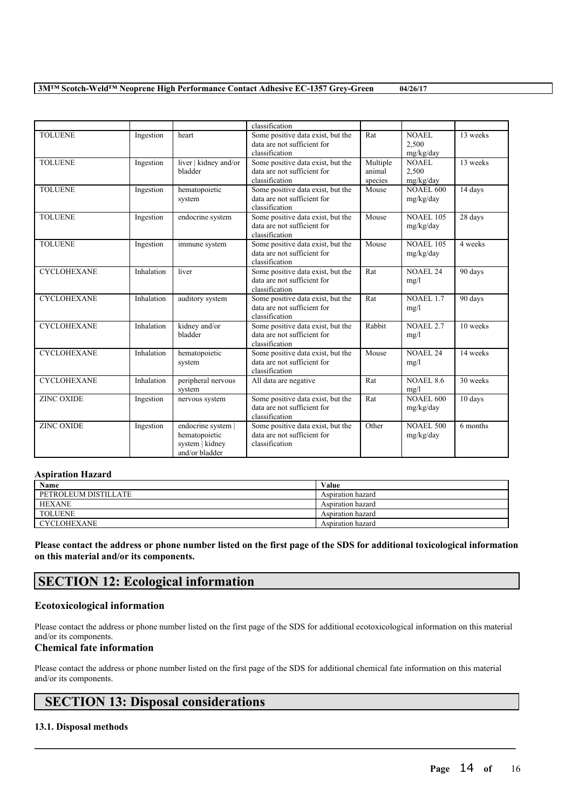|                    |            |                                                                          | classification                                                                     |                               |                                    |          |
|--------------------|------------|--------------------------------------------------------------------------|------------------------------------------------------------------------------------|-------------------------------|------------------------------------|----------|
| <b>TOLUENE</b>     | Ingestion  | heart                                                                    | Some positive data exist, but the<br>data are not sufficient for<br>classification | Rat                           | <b>NOAEL</b><br>2,500<br>mg/kg/day | 13 weeks |
| <b>TOLUENE</b>     | Ingestion  | liver   kidney and/or<br>bladder                                         | Some positive data exist, but the<br>data are not sufficient for<br>classification | Multiple<br>animal<br>species | NOAEL.<br>2,500<br>mg/kg/day       | 13 weeks |
| <b>TOLUENE</b>     | Ingestion  | hematopoietic<br>system                                                  | Some positive data exist, but the<br>data are not sufficient for<br>classification | Mouse                         | <b>NOAEL 600</b><br>mg/kg/day      | 14 days  |
| <b>TOLUENE</b>     | Ingestion  | endocrine system                                                         | Some positive data exist, but the<br>data are not sufficient for<br>classification | Mouse                         | <b>NOAEL 105</b><br>mg/kg/day      | 28 days  |
| <b>TOLUENE</b>     | Ingestion  | immune system                                                            | Some positive data exist, but the<br>data are not sufficient for<br>classification | Mouse                         | <b>NOAEL 105</b><br>mg/kg/day      | 4 weeks  |
| <b>CYCLOHEXANE</b> | Inhalation | liver                                                                    | Some positive data exist, but the<br>data are not sufficient for<br>classification | Rat                           | NOAEL <sub>24</sub><br>mg/l        | 90 days  |
| <b>CYCLOHEXANE</b> | Inhalation | auditory system                                                          | Some positive data exist, but the<br>data are not sufficient for<br>classification | Rat                           | <b>NOAEL 1.7</b><br>mg/l           | 90 days  |
| <b>CYCLOHEXANE</b> | Inhalation | kidney and/or<br>bladder                                                 | Some positive data exist, but the<br>data are not sufficient for<br>classification | Rabbit                        | <b>NOAEL 2.7</b><br>mg/l           | 10 weeks |
| <b>CYCLOHEXANE</b> | Inhalation | hematopoietic<br>system                                                  | Some positive data exist, but the<br>data are not sufficient for<br>classification | Mouse                         | NOAEL <sub>24</sub><br>mg/l        | 14 weeks |
| <b>CYCLOHEXANE</b> | Inhalation | peripheral nervous<br>system                                             | All data are negative                                                              | Rat                           | <b>NOAEL 8.6</b><br>mg/l           | 30 weeks |
| <b>ZINC OXIDE</b>  | Ingestion  | nervous system                                                           | Some positive data exist, but the<br>data are not sufficient for<br>classification | Rat                           | <b>NOAEL 600</b><br>mg/kg/day      | 10 days  |
| <b>ZINC OXIDE</b>  | Ingestion  | endocrine system  <br>hematopoietic<br>system   kidney<br>and/or bladder | Some positive data exist, but the<br>data are not sufficient for<br>classification | Other                         | <b>NOAEL 500</b><br>mg/kg/day      | 6 months |

# **Aspiration Hazard**

| Name                 | Value             |
|----------------------|-------------------|
| PETROLEUM DISTILLATE | Aspiration hazard |
| <b>HEXANE</b>        | Aspiration hazard |
| <b>TOLUENE</b>       | Aspiration hazard |
| <b>CYCLOHEXANE</b>   | Aspiration hazard |

Please contact the address or phone number listed on the first page of the SDS for additional toxicological information **on this material and/or its components.**

# **SECTION 12: Ecological information**

# **Ecotoxicological information**

Please contact the address or phone number listed on the first page of the SDS for additional ecotoxicological information on this material and/or its components.

# **Chemical fate information**

Please contact the address or phone number listed on the first page of the SDS for additional chemical fate information on this material and/or its components.

 $\mathcal{L}_\mathcal{L} = \mathcal{L}_\mathcal{L} = \mathcal{L}_\mathcal{L} = \mathcal{L}_\mathcal{L} = \mathcal{L}_\mathcal{L} = \mathcal{L}_\mathcal{L} = \mathcal{L}_\mathcal{L} = \mathcal{L}_\mathcal{L} = \mathcal{L}_\mathcal{L} = \mathcal{L}_\mathcal{L} = \mathcal{L}_\mathcal{L} = \mathcal{L}_\mathcal{L} = \mathcal{L}_\mathcal{L} = \mathcal{L}_\mathcal{L} = \mathcal{L}_\mathcal{L} = \mathcal{L}_\mathcal{L} = \mathcal{L}_\mathcal{L}$ 

# **SECTION 13: Disposal considerations**

# **13.1. Disposal methods**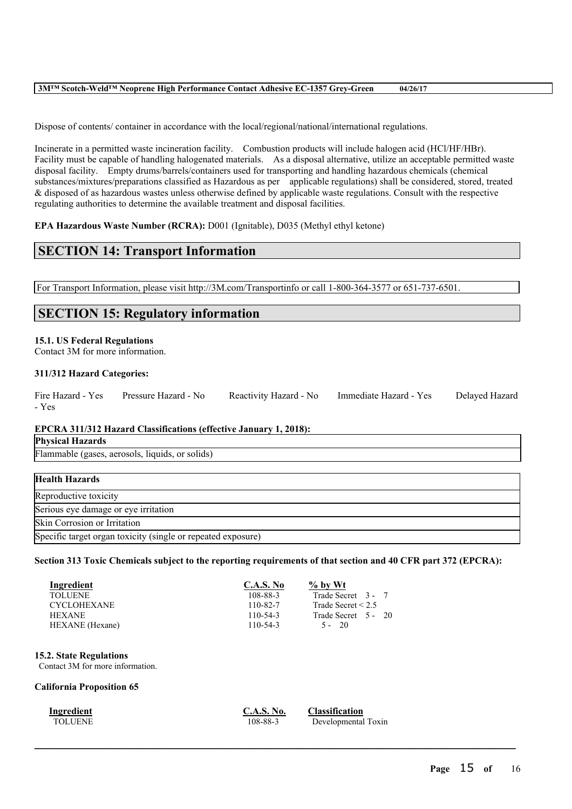Dispose of contents/ container in accordance with the local/regional/national/international regulations.

Incinerate in a permitted waste incineration facility. Combustion products will include halogen acid (HCl/HF/HBr). Facility must be capable of handling halogenated materials. As a disposal alternative, utilize an acceptable permitted waste disposal facility. Empty drums/barrels/containers used for transporting and handling hazardous chemicals (chemical substances/mixtures/preparations classified as Hazardous as per applicable regulations) shall be considered, stored, treated & disposed of as hazardous wastes unless otherwise defined by applicable waste regulations. Consult with the respective regulating authorities to determine the available treatment and disposal facilities.

**EPA Hazardous Waste Number (RCRA):** D001 (Ignitable), D035 (Methyl ethyl ketone)

# **SECTION 14: Transport Information**

For Transport Information, please visit http://3M.com/Transportinfo or call 1-800-364-3577 or 651-737-6501.

# **SECTION 15: Regulatory information**

#### **15.1. US Federal Regulations**

Contact 3M for more information.

# **311/312 Hazard Categories:**

| Fire Hazard - Yes | Pressure Hazard - No | Reactivity Hazard - No | Immediate Hazard - Yes | Delayed Hazard |
|-------------------|----------------------|------------------------|------------------------|----------------|
| - Yes             |                      |                        |                        |                |

# **EPCRA 311/312 Hazard Classifications (effective January 1, 2018):**

|  | <b>Physical Hazards</b> |
|--|-------------------------|
|--|-------------------------|

Flammable (gases, aerosols, liquids, or solids)

| <b>Health Hazards</b>                                        |
|--------------------------------------------------------------|
| Reproductive toxicity                                        |
| Serious eye damage or eye irritation                         |
| Skin Corrosion or Irritation                                 |
| Specific target organ toxicity (single or repeated exposure) |

#### Section 313 Toxic Chemicals subject to the reporting requirements of that section and 40 CFR part 372 (EPCRA):

| Ingredient         | <b>C.A.S. No</b> | $\%$ by Wt              |
|--------------------|------------------|-------------------------|
| <b>TOLUENE</b>     | 108-88-3         | Trade Secret 3 - 7      |
| <b>CYCLOHEXANE</b> | 110-82-7         | Trade Secret $\leq 2.5$ |
| <b>HEXANE</b>      | $110 - 54 - 3$   | Trade Secret 5 - 20     |
| HEXANE (Hexane)    | $110 - 54 - 3$   | $5 - 20$                |

# **15.2. State Regulations**

Contact 3M for more information.

# **California Proposition 65**

 $\mathcal{L}_\mathcal{L} = \mathcal{L}_\mathcal{L} = \mathcal{L}_\mathcal{L} = \mathcal{L}_\mathcal{L} = \mathcal{L}_\mathcal{L} = \mathcal{L}_\mathcal{L} = \mathcal{L}_\mathcal{L} = \mathcal{L}_\mathcal{L} = \mathcal{L}_\mathcal{L} = \mathcal{L}_\mathcal{L} = \mathcal{L}_\mathcal{L} = \mathcal{L}_\mathcal{L} = \mathcal{L}_\mathcal{L} = \mathcal{L}_\mathcal{L} = \mathcal{L}_\mathcal{L} = \mathcal{L}_\mathcal{L} = \mathcal{L}_\mathcal{L}$ 

**Ingredient**<br> **C.A.S. No. Classification**<br> **C.A.S. No. Classification**<br> **C.A.S. No. Classification** Developmental Toxin